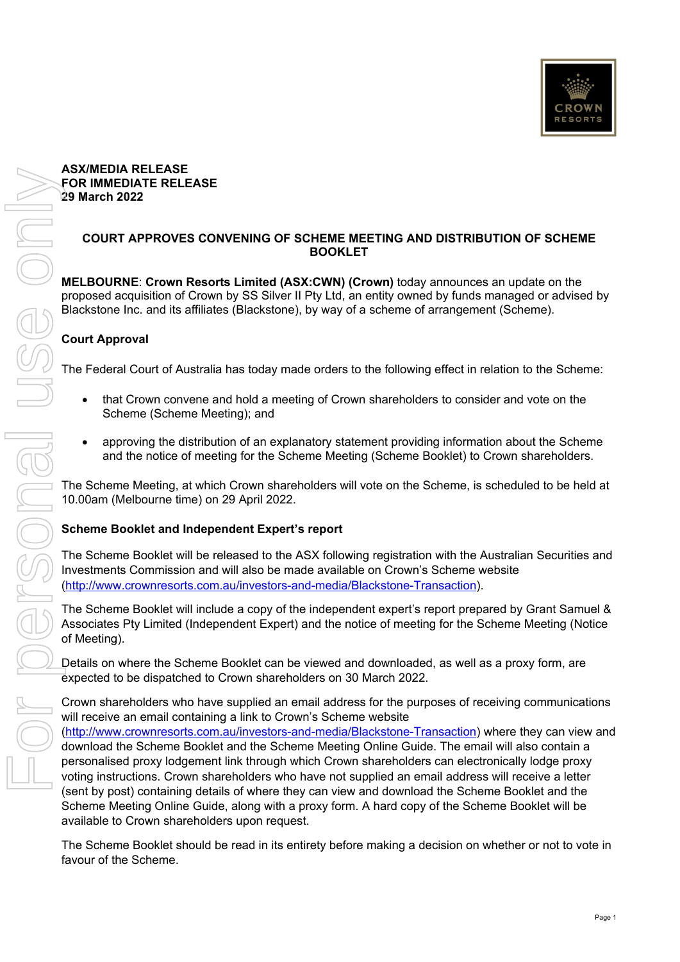# **FOR IMMEDIATE RELEASE 29 March 2022 COURT APPROVES CONVENING OF SCHEME MEETING AND DISTRIBUTION OF SCHEME MELBOURNE**: **Crown Resorts Limited (ASX:CWN) (Crown)** today announces an update on the proposed acquisition of Crown by SS Silver II Pty Ltd, an entity owned by funds managed or advised by Blackstone Inc. and its affiliates (Blackstone), by way of a scheme of arrangement (Scheme).

## **Court Approval**

The Federal Court of Australia has today made orders to the following effect in relation to the Scheme:

**BOOKLET** 

- that Crown convene and hold a meeting of Crown shareholders to consider and vote on the Scheme (Scheme Meeting); and
- approving the distribution of an explanatory statement providing information about the Scheme and the notice of meeting for the Scheme Meeting (Scheme Booklet) to Crown shareholders.

The Scheme Meeting, at which Crown shareholders will vote on the Scheme, is scheduled to be held at 10.00am (Melbourne time) on 29 April 2022.

### **Scheme Booklet and Independent Expert's report**

The Scheme Booklet will be released to the ASX following registration with the Australian Securities and Investments Commission and will also be made available on Crown's Scheme website (http://www.crownresorts.com.au/investors-and-media/Blackstone-Transaction).

The Scheme Booklet will include a copy of the independent expert's report prepared by Grant Samuel & Associates Pty Limited (Independent Expert) and the notice of meeting for the Scheme Meeting (Notice of Meeting).

Details on where the Scheme Booklet can be viewed and downloaded, as well as a proxy form, are expected to be dispatched to Crown shareholders on 30 March 2022.

Crown shareholders who have supplied an email address for the purposes of receiving communications will receive an email containing a link to Crown's Scheme website (http://www.crownresorts.com.au/investors-and-media/Blackstone-Transaction) where they can view and download the Scheme Booklet and the Scheme Meeting Online Guide. The email will also contain a personalised proxy lodgement link through which Crown shareholders can electronically lodge proxy voting instructions. Crown shareholders who have not supplied an email address will receive a letter (sent by post) containing details of where they can view and download the Scheme Booklet and the Scheme Meeting Online Guide, along with a proxy form. A hard copy of the Scheme Booklet will be available to Crown shareholders upon request.

The Scheme Booklet should be read in its entirety before making a decision on whether or not to vote in